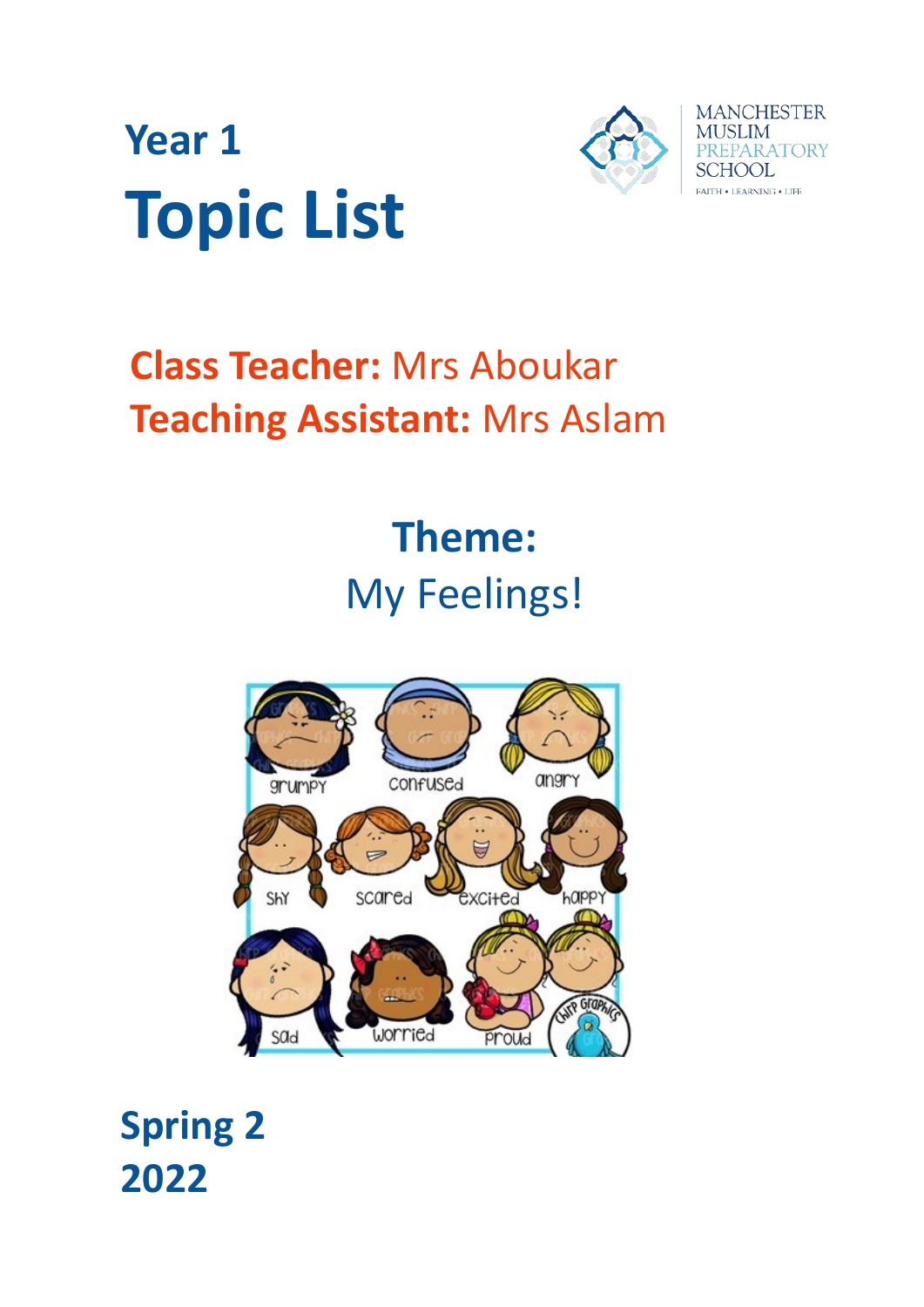



# **Class Teacher:** Mrs Aboukar **Teaching Assistant:** Mrs Aslam

# **Theme:** My Feelings!



**Spring 2 2022**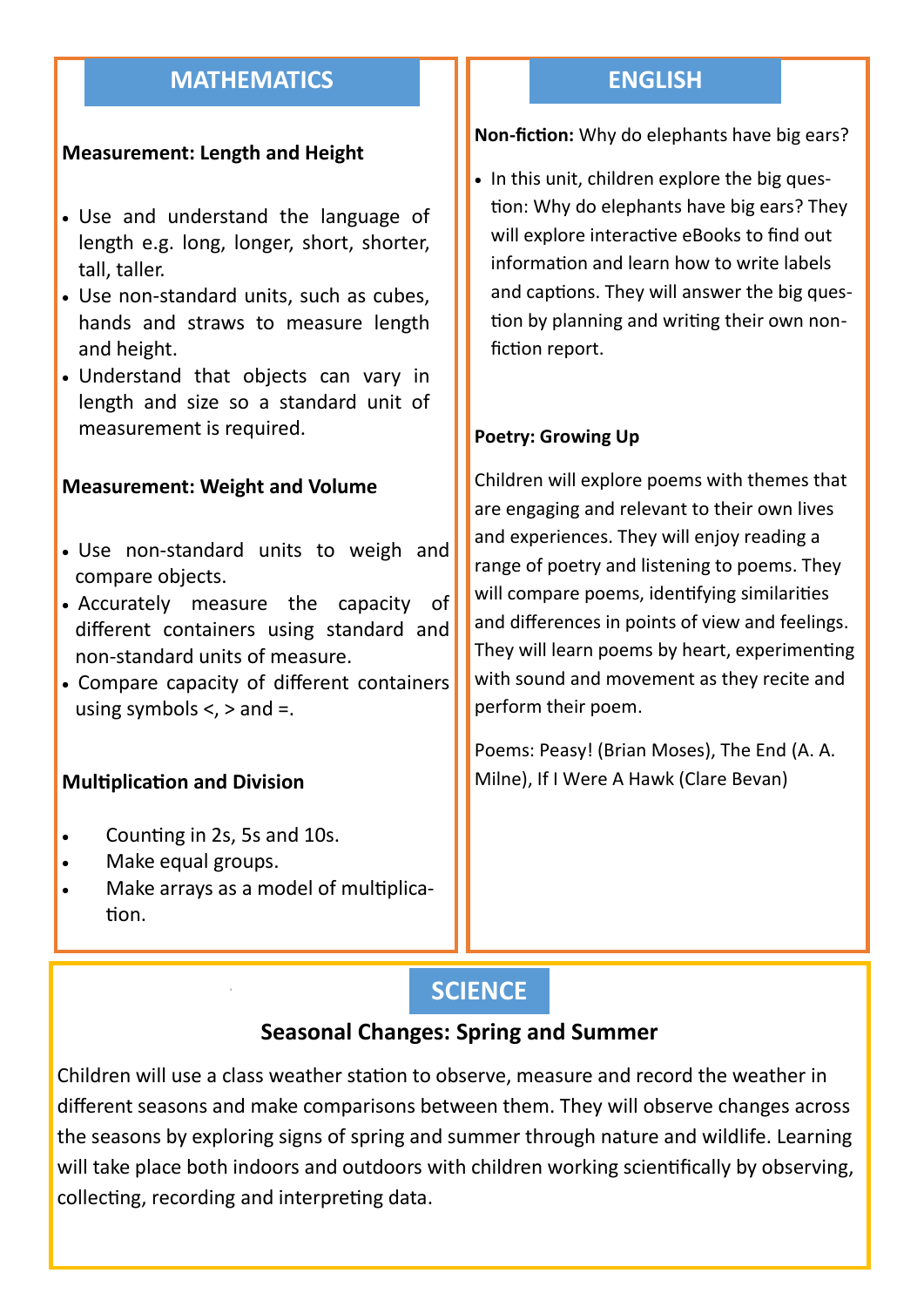# **MATHEMATICS**

## **Measurement: Length and Height**

- Use and understand the language of length e.g. long, longer, short, shorter, tall, taller.
- Use non-standard units, such as cubes, hands and straws to measure length and height.
- Understand that objects can vary in length and size so a standard unit of measurement is required.

#### **Measurement: Weight and Volume**

- Use non-standard units to weigh and compare objects.
- Accurately measure the capacity of different containers using standard and non-standard units of measure.
- Compare capacity of different containers using symbols  $\lt$ ,  $>$  and  $=$ .

## **Multiplication and Division**

- Counting in 2s, 5s and 10s.
- Make equal groups.
- Make arrays as a model of multiplication.

## **ENGLISH**

#### **Non-fiction:** Why do elephants have big ears?

• In this unit, children explore the big question: Why do elephants have big ears? They will explore interactive eBooks to find out information and learn how to write labels and captions. They will answer the big question by planning and writing their own nonfiction report.

#### **Poetry: Growing Up**

Children will explore poems with themes that are engaging and relevant to their own lives and experiences. They will enjoy reading a range of poetry and listening to poems. They will compare poems, identifying similarities and differences in points of view and feelings. They will learn poems by heart, experimenting with sound and movement as they recite and perform their poem.

Poems: Peasy! (Brian Moses), The End (A. A. Milne), If I Were A Hawk (Clare Bevan)

## **SCIENCE**

## **Seasonal Changes: Spring and Summer**

Children will use a class weather station to observe, measure and record the weather in different seasons and make comparisons between them. They will observe changes across the seasons by exploring signs of spring and summer through nature and wildlife. Learning will take place both indoors and outdoors with children working scientifically by observing, collecting, recording and interpreting data.